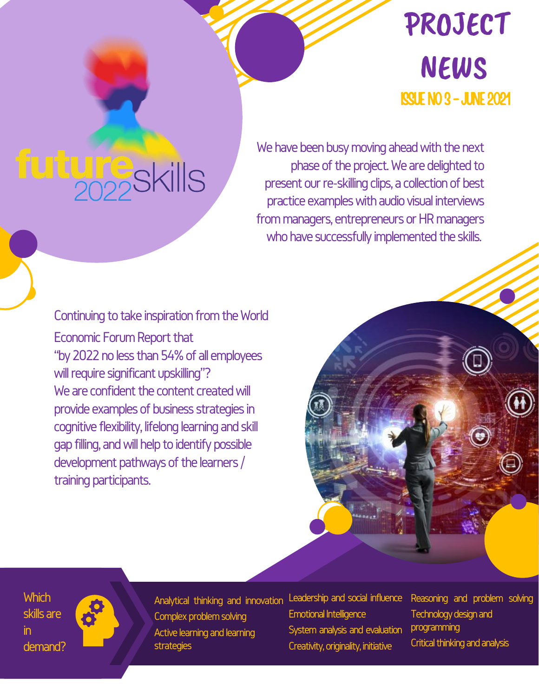## PROJECT NEWS ISSUENO3-JUNE2021

## **ture**skills

We have been busy moving ahead with the next phase of the project. We are delighted to present our re-skilling clips, a collection of best practice examples with audio visual interviews from managers, entrepreneurs or HR managers who have successfully implemented the skills.

Continuing to take inspiration from the World Economic Forum Report that "by 2022 no less than 54% of all employees will require significant upskilling"? We are confident the content created will provide examples of business strategies in cognitive flexibility, lifelong learning and skill gap filling, and will help to identify possible development pathways of the learners / training participants.

**Which** skills are in demand?

Analytical thinking and innovation Complex problem solving Active learning and learning strategies

Leadership and social influence **Emotional Intelligence** System analysis and evaluation Creativity, originality, initiative

Reasoning and problem solving Technology design and programming Critical thinking and analysis